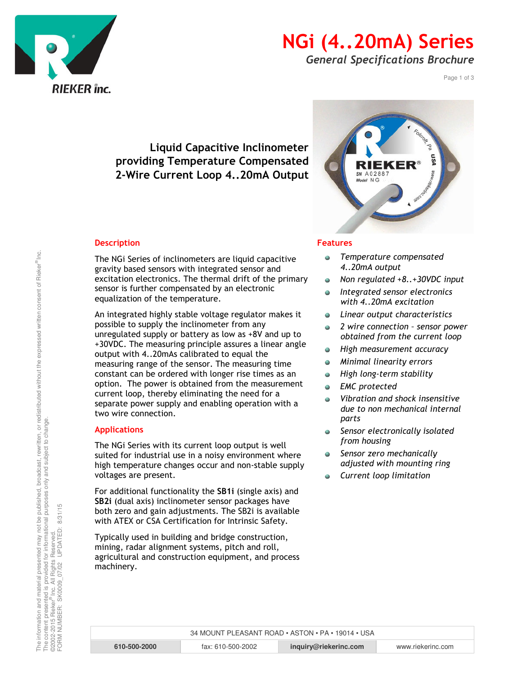

## NGi (4..20mA) Series

General Specifications Brochure

Page 1 of 3

### Liquid Capacitive Inclinometer providing Temperature Compensated 2-Wire Current Loop 4..20mA Output

#### **Description**

The NGi Series of inclinometers are liquid capacitive gravity based sensors with integrated sensor and excitation electronics. The thermal drift of the primary sensor is further compensated by an electronic equalization of the temperature.

An integrated highly stable voltage regulator makes it possible to supply the inclinometer from any unregulated supply or battery as low as +8V and up to +30VDC. The measuring principle assures a linear angle output with 4..20mAs calibrated to equal the measuring range of the sensor. The measuring time constant can be ordered with longer rise times as an option. The power is obtained from the measurement current loop, thereby eliminating the need for a separate power supply and enabling operation with a two wire connection.

#### Applications

The NGi Series with its current loop output is well suited for industrial use in a noisy environment where high temperature changes occur and non-stable supply voltages are present.

For additional functionality the SB1i (single axis) and SB2i (dual axis) inclinometer sensor packages have both zero and gain adjustments. The SB2i is available with ATEX or CSA Certification for Intrinsic Safety.

Typically used in building and bridge construction, mining, radar alignment systems, pitch and roll, agricultural and construction equipment, and process machinery.



#### Features

- Temperature compensated  $\bullet$ 4..20mA output
- Non regulated +8..+30VDC input  $\bullet$
- Integrated sensor electronics  $\bullet$ with 4..20mA excitation
- Linear output characteristics  $\bullet$
- 2 wire connection sensor power  $\bullet$ obtained from the current loop
- High measurement accuracy  $\bullet$
- Minimal linearity errors  $\bullet$
- High long-term stability  $\bullet$
- EMC protected  $\bullet$
- Vibration and shock insensitive due to non mechanical internal parts
- Sensor electronically isolated  $\bullet$ from housing
- $\bullet$ Sensor zero mechanically adjusted with mounting ring
- Current loop limitation

FORM NUMBER: SK0009\_07/02 UPDATED: 8/31/15

34 MOUNT PLEASANT ROAD • ASTON • PA • 19014 • USA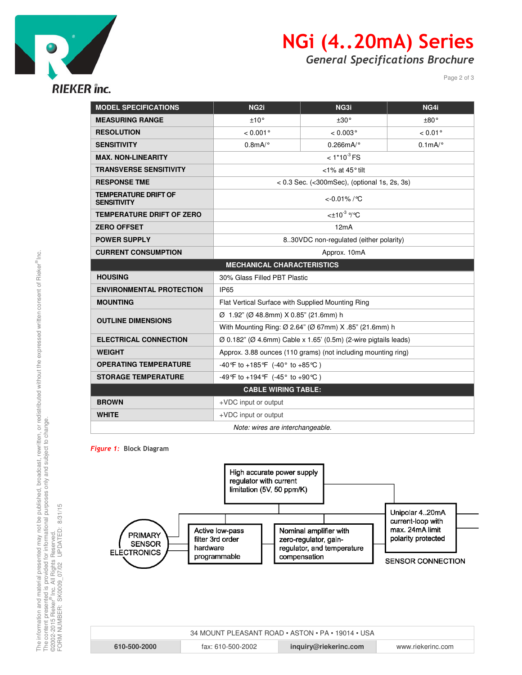

## NGi (4..20mA) Series

General Specifications Brochure

Page 2 of 3

| <b>MODEL SPECIFICATIONS</b>                       | NG <sub>2i</sub>                                                                         | NG3i                | NG4i                     |  |
|---------------------------------------------------|------------------------------------------------------------------------------------------|---------------------|--------------------------|--|
| <b>MEASURING RANGE</b>                            | ±10°                                                                                     | ±30°                | ±80°                     |  |
| <b>RESOLUTION</b>                                 | $< 0.001$ °                                                                              | $< 0.003$ °         | $< 0.01$ °               |  |
| <b>SENSITIVITY</b>                                | $0.8$ mA/ $\circ$                                                                        | $0.266$ mA/ $\circ$ | $0.1$ m $A$ <sup>o</sup> |  |
| <b>MAX. NON-LINEARITY</b>                         | $< 1*10^{-3}$ FS                                                                         |                     |                          |  |
| <b>TRANSVERSE SENSITIVITY</b>                     | $<$ 1% at 45 $^{\circ}$ tilt                                                             |                     |                          |  |
| <b>RESPONSE TME</b>                               | $< 0.3$ Sec. ( $<$ 300mSec), (optional 1s, 2s, 3s)                                       |                     |                          |  |
| <b>TEMPERATURE DRIFT OF</b><br><b>SENSITIVITY</b> | $< 0.01\%$ / °C                                                                          |                     |                          |  |
| <b>TEMPERATURE DRIFT OF ZERO</b>                  | $<$ ±10 <sup>-3</sup> %C                                                                 |                     |                          |  |
| <b>ZERO OFFSET</b>                                | 12mA                                                                                     |                     |                          |  |
| <b>POWER SUPPLY</b>                               | 830VDC non-regulated (either polarity)                                                   |                     |                          |  |
| <b>CURRENT CONSUMPTION</b>                        | Approx. 10mA                                                                             |                     |                          |  |
| <b>MECHANICAL CHARACTERISTICS</b>                 |                                                                                          |                     |                          |  |
| <b>HOUSING</b>                                    | 30% Glass Filled PBT Plastic                                                             |                     |                          |  |
| <b>ENVIRONMENTAL PROTECTION</b>                   | <b>IP65</b>                                                                              |                     |                          |  |
| <b>MOUNTING</b>                                   | Flat Vertical Surface with Supplied Mounting Ring                                        |                     |                          |  |
| <b>OUTLINE DIMENSIONS</b>                         | Ø 1.92" (Ø 48.8mm) X 0.85" (21.6mm) h                                                    |                     |                          |  |
|                                                   | With Mounting Ring: Ø 2.64" (Ø 67mm) X .85" (21.6mm) h                                   |                     |                          |  |
| <b>ELECTRICAL CONNECTION</b>                      | $\varnothing$ 0.182" ( $\varnothing$ 4.6mm) Cable x 1.65' (0.5m) (2-wire pigtails leads) |                     |                          |  |
| <b>WEIGHT</b>                                     | Approx. 3.88 ounces (110 grams) (not including mounting ring)                            |                     |                          |  |
| <b>OPERATING TEMPERATURE</b>                      | -40 °F to +185 °F (-40 $\degree$ to +85 °C)                                              |                     |                          |  |
| <b>STORAGE TEMPERATURE</b>                        | -49°F to +194°F (-45° to +90°C)                                                          |                     |                          |  |
| <b>CABLE WIRING TABLE:</b>                        |                                                                                          |                     |                          |  |
| <b>BROWN</b>                                      | +VDC input or output                                                                     |                     |                          |  |
| <b>WHITE</b>                                      | +VDC input or output                                                                     |                     |                          |  |
| Note: wires are interchangeable.                  |                                                                                          |                     |                          |  |

Figure 1: Block Diagram



| 34 MOUNT PLEASANT ROAD • ASTON • PA • 19014 • USA |                   |                       |                   |  |
|---------------------------------------------------|-------------------|-----------------------|-------------------|--|
| 610-500-2000                                      | fax: 610-500-2002 | inquiry@riekerinc.com | www.riekerinc.com |  |

FORM NUMBER: SK0009\_07/02 UPDATED: 8/31/15